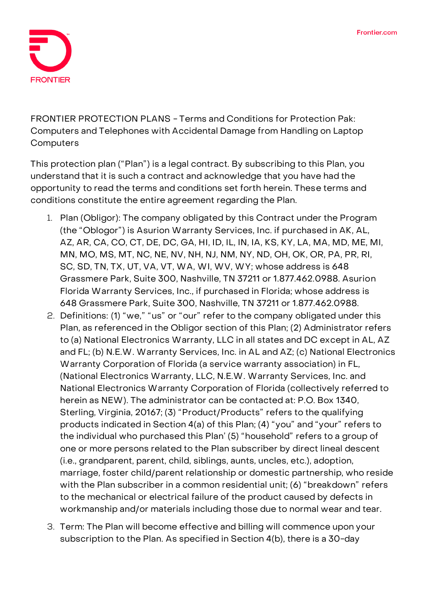

**FRONTIER PROTECTION PLANS - Terms and Conditions for Protection Pak: Computers and Telephones with Accidental Damage from Handling on Laptop Computers**

This protection plan ("Plan") is a legal contract. By subscribing to this Plan, you understand that it is such a contract and acknowledge that you have had the opportunity to read the terms and conditions set forth herein. These terms and conditions constitute the entire agreement regarding the Plan.

- 1. **Plan (Obligor):** The company obligated by this Contract under the Program (the "Oblogor") is Asurion Warranty Services, Inc. if purchased in AK, AL, AZ, AR, CA, CO, CT, DE, DC, GA, HI, ID, IL, IN, IA, KS, KY, LA, MA, MD, ME, MI, MN, MO, MS, MT, NC, NE, NV, NH, NJ, NM, NY, ND, OH, OK, OR, PA, PR, RI, SC, SD, TN, TX, UT, VA, VT, WA, WI, WV, WY; whose address is 648 Grassmere Park, Suite 300, Nashville, TN 37211 or 1.877.462.0988. Asurion Florida Warranty Services, Inc., if purchased in Florida; whose address is 648 Grassmere Park, Suite 300, Nashville, TN 37211 or 1.877.462.0988.
- 2. **Definitions:** (1) "we," "us" or "our" refer to the company obligated under this Plan, as referenced in the Obligor section of this Plan; (2) Administrator refers to (a) National Electronics Warranty, LLC in all states and DC except in AL, AZ and FL; (b) N.E.W. Warranty Services, Inc. in AL and AZ; (c) National Electronics Warranty Corporation of Florida (a service warranty association) in FL, (National Electronics Warranty, LLC, N.E.W. Warranty Services, Inc. and National Electronics Warranty Corporation of Florida (collectively referred to herein as NEW). The administrator can be contacted at: P.O. Box 1340, Sterling, Virginia, 20167; (3) "Product/Products" refers to the qualifying products indicated in Section 4(a) of this Plan; (4) "you" and "your" refers to the individual who purchased this Plan' (5) "household" refers to a group of one or more persons related to the Plan subscriber by direct lineal descent (i.e., grandparent, parent, child, siblings, aunts, uncles, etc.), adoption, marriage, foster child/parent relationship or domestic partnership, who reside with the Plan subscriber in a common residential unit; (6) "breakdown" refers to the mechanical or electrical failure of the product caused by defects in workmanship and/or materials including those due to normal wear and tear.
- 3. **Term:** The Plan will become effective and billing will commence upon your subscription to the Plan. **As specified in Section 4(b), there is a 30-day**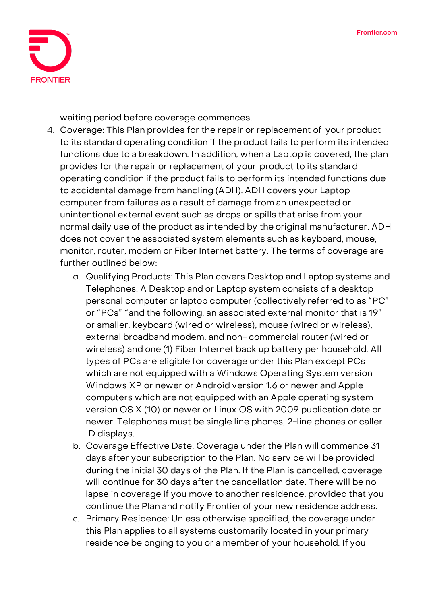

**waiting period before coverage commences.**

- 4. **Coverage:** This Plan provides for the repair or replacement of your product to its standard operating condition if the product fails to perform its intended functions due to a breakdown. In addition, when a Laptop is covered, the plan provides for the repair or replacement of your product to its standard operating condition if the product fails to perform its intended functions due to accidental damage from handling (ADH). ADH covers your Laptop computer from failures as a result of damage from an unexpected or unintentional external event such as drops or spills that arise from your normal daily use of the product as intended by the original manufacturer. ADH does not cover the associated system elements such as keyboard, mouse, monitor, router, modem or Fiber Internet battery. The terms of coverage are further outlined below:
	- a. Qualifying Products: This Plan covers Desktop and Laptop systems and Telephones. A Desktop and or Laptop system consists of a desktop personal computer or laptop computer (collectively referred to as "PC" or "PCs" "and the following: an associated external monitor that is 19" or smaller, keyboard (wired or wireless), mouse (wired or wireless), external broadband modem, and non- commercial router (wired or wireless) and one (1) Fiber Internet back up battery per household. All types of PCs are eligible for coverage under this Plan except PCs which are not equipped with a Windows Operating System version Windows XP or newer or Android version 1.6 or newer and Apple computers which are not equipped with an Apple operating system version OS X (10) or newer or Linux OS with 2009 publication date or newer. Telephones must be single line phones, 2-line phones or caller ID displays.
	- b. Coverage Effective Date**: Coverage under the Plan will commence 31 days after your subscription to the Plan. No service will be provided during the initial 30 days of the Plan. If the Plan is cancelled, coverage will continue for 30 days after the cancellation date. There will be no lapse in coverage if you move to another residence, provided that you continue the Plan and notify Frontier of your new residence address.**
	- c. Primary Residence: Unless otherwise specified, the coverage under this Plan applies to all systems customarily located in your primary residence belonging to you or a member of your household. If you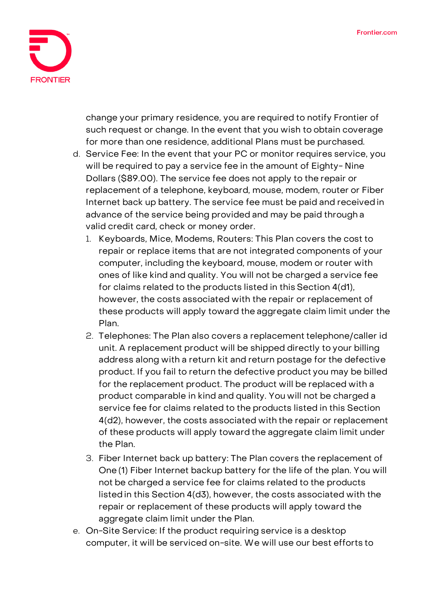

change your primary residence, you are required to notify Frontier of such request or change. In the event that you wish to obtain coverage for more than one residence, additional Plans must be purchased.

- d. Service Fee: **In the event that your PC or monitor requires service, you will be required to pay a service fee in the amount of Eighty- Nine Dollars (\$89.00).** The service fee does not apply to the repair or replacement of a telephone, keyboard, mouse, modem, router or Fiber Internet back up battery. The service fee must be paid and receivedin advance of the service being provided and may be paid through a valid credit card, check or money order.
	- 1. Keyboards, Mice, Modems, Routers: This Plan covers the cost to repair or replace items that are not integrated components of your computer, including the keyboard, mouse, modem or router with ones of like kind and quality. You will not be charged a service fee for claims related to the products listed in this Section 4(d1), however, the costs associated with the repair or replacement of these products will apply toward the aggregate claim limit under the Plan.
	- 2. Telephones: The Plan also covers a replacement telephone/caller id unit. A replacement product will be shipped directly to your billing address along with a return kit and return postage for the defective product. If you fail to return the defective product you may be billed for the replacement product. The product will be replaced with a product comparable in kind and quality. You will not be charged a service fee for claims related to the products listed in this Section 4(d2), however, the costs associated with the repair or replacement of these products will apply toward the aggregate claim limit under the Plan.
	- 3. Fiber Internet back up battery: The Plan covers the replacement of One (1) Fiber Internet backup battery for the life of the plan. You will not be charged a service fee for claims related to the products listedin this Section 4(d3), however, the costs associated with the repair or replacement of these products will apply toward the aggregate claim limit under the Plan.
- e. On-Site Service: If the product requiring service is a desktop computer, it will be serviced on-site. We will use our best efforts to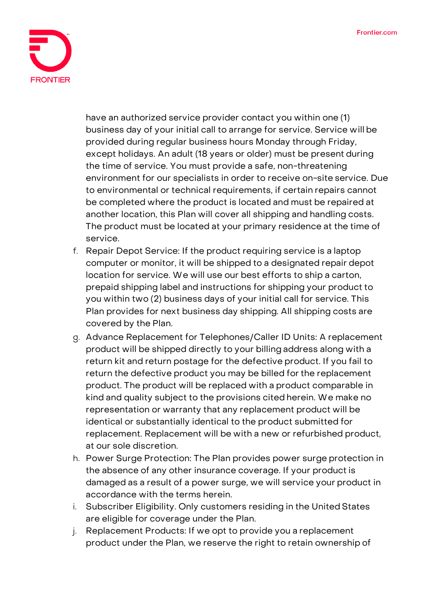

have an authorized service provider contact you within one (1) business day of your initial call to arrange for service. Service will be provided during regular business hours Monday through Friday, except holidays. An adult (18 years or older) must be present during the time of service. You must provide a safe, non-threatening environment for our specialists in order to receive on-site service. Due to environmental or technical requirements, if certain repairs cannot be completed where the product is located and must be repaired at another location, this Plan will cover all shipping and handling costs. The product must be located at your primary residence at the time of service.

- f. Repair Depot Service: If the product requiring service is a laptop computer or monitor, it will be shipped to a designated repair depot location for service. We will use our best efforts to ship a carton, prepaid shipping label and instructions for shipping your product to you within two (2) business days of your initial call for service. This Plan provides for next business day shipping. All shipping costs are covered by the Plan.
- g. Advance Replacement for Telephones/Caller ID Units: A replacement product will be shipped directly to your billing address along with a return kit and return postage for the defective product. If you fail to return the defective product you may be billed for the replacement product. The product will be replaced with a product comparable in kind and quality subject to the provisions cited herein. We make no representation or warranty that any replacement product will be identical or substantially identical to the product submitted for replacement. Replacement will be with a new or refurbished product, at our sole discretion.
- h. Power Surge Protection: The Plan provides power surge protection in the absence of any other insurance coverage. If your product is damaged as a result of a power surge, we will service your product in accordance with the terms herein.
- i. Subscriber Eligibility. Only customers residing in the United States are eligible for coverage under the Plan.
- j. Replacement Products: If we opt to provide you a replacement product under the Plan, we reserve the right to retain ownership of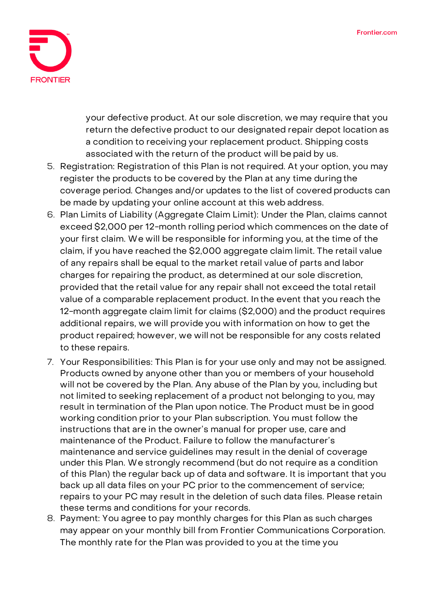

your defective product. At our sole discretion, we may require that you return the defective product to our designated repair depot location as a condition to receiving your replacement product. Shipping costs associated with the return of the product will be paid by us.

- 5. **Registration:** Registration of this Plan is not required. At your option, you may register the products to be covered by the Plan at any time duringthe coverage period. Changes and/or updates to the list of covered products can be made by updating your online account at this web address.
- 6. **Plan Limits of Liability (Aggregate Claim Limit):** Under the Plan, claims cannot exceed \$2,000 per 12-month rolling period which commences on the date of your first claim. We will be responsible for informing you, at the time of the claim, if you have reached the \$2,000 aggregate claim limit. The retail value of any repairs shall be equal to the market retail value of parts and labor charges for repairing the product, as determined at our sole discretion, provided that the retail value for any repair shall not exceed the total retail value of a comparable replacement product. In the event that you reach the 12-month aggregate claim limit for claims (\$2,000) and the product requires additional repairs, we will provide you with information on how to get the product repaired; however, we will not be responsible for any costs related to these repairs.
- 7. **Your Responsibilities:** This Plan is for your use only and may not be assigned. Products owned by anyone other than you or members of your household will not be covered by the Plan. Any abuse of the Plan by you, including but not limited to seeking replacement of a product not belonging to you, may result in termination of the Plan upon notice. The Product must be in good working condition prior to your Plan subscription. You must follow the instructions that are in the owner's manual for proper use, care and maintenance of the Product. Failure to follow the manufacturer's maintenance and service guidelines may result in the denial of coverage under this Plan. We strongly recommend (but do not require as a condition of this Plan) the regular back up of data and software. It is important that you back up all data files on your PC prior to the commencement of service; repairs to your PC may result in the deletion of such data files. Please retain these terms and conditions for your records.
- 8. **Payment:** You agree to pay monthly charges for this Plan as such charges may appear on your monthly bill from Frontier Communications Corporation. The monthly rate for the Plan was provided to you at the time you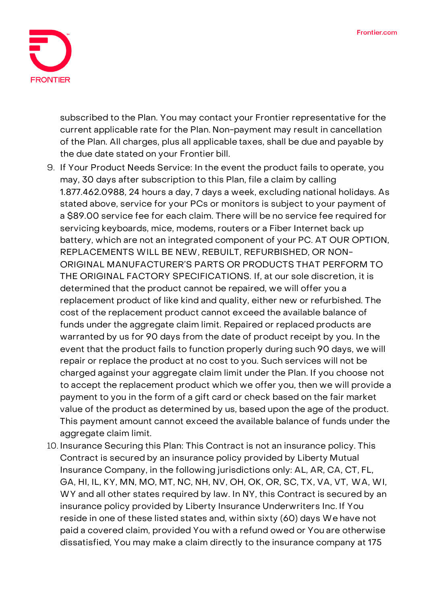

subscribed to the Plan. You may contact your Frontier representative for the current applicable rate for the Plan. Non-payment may result in cancellation of the Plan. All charges, plus all applicable taxes, shall be due and payable by the due date stated on your Frontier bill.

- 9. **If Your Product Needs Service:** In the event the product fails to operate, you may, 30 days after subscription to this Plan, file a claim by calling 1.877.462.0988, 24 hours a day, 7 days a week, excluding national holidays. As stated above, service for your PCs or monitors is subject to your payment of a \$89.00 service fee for each claim. There will be no service fee required for servicing keyboards, mice, modems, routers or a Fiber Internet back up battery, which are not an integrated component of your PC. **AT OUR OPTION, REPLACEMENTS WILL BE NEW, REBUILT, REFURBISHED, OR NON-ORIGINAL MANUFACTURER'S PARTS OR PRODUCTS THAT PERFORM TO THE ORIGINAL FACTORY SPECIFICATIONS.** If, at our sole discretion, it is determined that the product cannot be repaired, we will offer you a replacement product of like kind and quality, either new or refurbished. The cost of the replacement product cannot exceed the available balance of funds under the aggregate claim limit. Repaired or replaced products are warranted by us for 90 days from the date of product receipt by you. In the event that the product fails to function properly during such 90 days, we will repair or replace the product at no cost to you. Such services will not be charged against your aggregate claim limit under the Plan. If you choose not to accept the replacement product which we offer you, then we will provide a payment to you in the form of a gift card or check based on the fair market value of the product as determined by us, based upon the age of the product. This payment amount cannot exceed the available balance of funds under the aggregate claim limit.
- 10. **Insurance Securing this Plan:** This Contract is not an insurance policy. This Contract is secured by an insurance policy provided by Liberty Mutual Insurance Company, in the following jurisdictions only: AL, AR, CA, CT, FL, GA, HI, IL, KY, MN, MO, MT, NC, NH, NV, OH, OK, OR, SC, TX, VA, VT, WA, WI, WY and all other states required by law. In NY, this Contract is secured by an insurance policy provided by Liberty Insurance Underwriters Inc. If You reside in one of these listed states and, within sixty (60) days We have not paid a covered claim, provided You with a refund owed or You are otherwise dissatisfied, You may make a claim directly to the insurance company at 175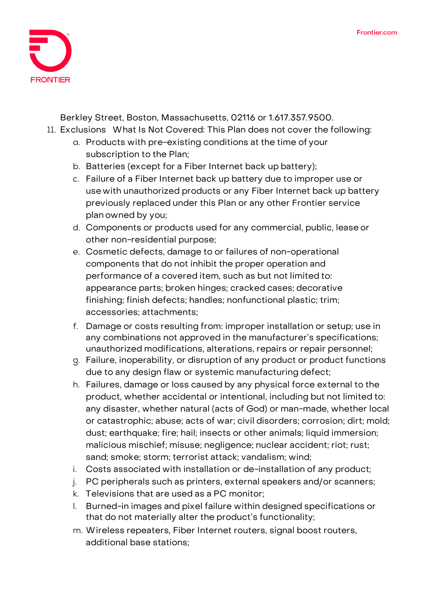

Berkley Street, Boston, Massachusetts, 02116 or 1.617.357.9500.

- 11. **Exclusions What Is Not Covered:** This Plan does not cover the following:
	- a. Products with pre-existing conditions at the time of your subscription to the Plan;
	- b. Batteries (except for a Fiber Internet back up battery);
	- c. Failure of a Fiber Internet back up battery due to improper use or use with unauthorized products or any Fiber Internet back up battery previously replaced under this Plan or any other Frontier service plan owned by you;
	- d. Components or products used for any commercial, public, lease or other non-residential purpose;
	- e. Cosmetic defects, damage to or failures of non-operational components that do not inhibit the proper operation and performance of a covered item, such as but not limited to: appearance parts; broken hinges; cracked cases; decorative finishing; finish defects; handles; nonfunctional plastic; trim; accessories; attachments;
	- f. Damage or costs resulting from: improper installation or setup; use in any combinations not approved in the manufacturer's specifications; unauthorized modifications, alterations, repairs or repair personnel;
	- g. Failure, inoperability, or disruption of any product or product functions due to any design flaw or systemic manufacturing defect;
	- h. Failures, damage or loss caused by any physical force external to the product, whether accidental or intentional, including but not limited to: any disaster, whether natural (acts of God) or man-made, whether local or catastrophic; abuse; acts of war; civil disorders; corrosion; dirt; mold; dust; earthquake; fire; hail; insects or other animals; liquid immersion; malicious mischief; misuse; negligence; nuclear accident; riot; rust; sand; smoke; storm; terrorist attack; vandalism; wind;
	- i. Costs associated with installation or de-installation of any product;
	- j. PC peripherals such as printers, external speakers and/or scanners;
	- k. Televisions that are used as a PC monitor;
	- l. Burned-in images and pixel failure within designed specifications or that do not materially alter the product's functionality;
	- m. Wireless repeaters, Fiber Internet routers, signal boost routers, additional base stations;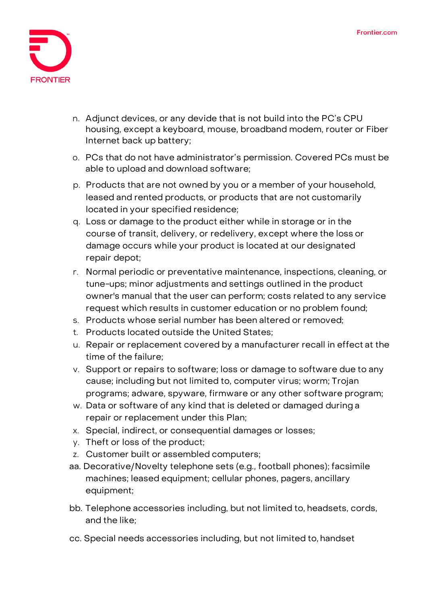

- n. Adjunct devices, or any devide that is not build into the PC's CPU housing, except a keyboard, mouse, broadband modem, router or Fiber Internet back up battery;
- o. PCs that do not have administrator's permission. Covered PCs must be able to upload and download software;
- p. Products that are not owned by you or a member of your household, leased and rented products, or products that are not customarily located in your specified residence;
- q. Loss or damage to the product either while in storage or in the course of transit, delivery, or redelivery, except where the loss or damage occurs while your product is located at our designated repair depot;
- r. Normal periodic or preventative maintenance, inspections, cleaning, or tune-ups; minor adjustments and settings outlined in the product owner's manual that the user can perform; costs related to any service request which results in customer education or no problem found;
- s. Products whose serial number has been altered or removed;
- t. Products located outside the United States;
- u. Repair or replacement covered by a manufacturer recall in effect at the time of the failure;
- v. Support or repairs to software; loss or damage to software due to any cause; including but not limited to, computer virus; worm; Trojan programs; adware, spyware, firmware or any other software program;
- w. Data or software of any kind that is deleted or damaged during a repair or replacement under this Plan;
- x. Special, indirect, or consequential damages or losses;
- y. Theft or loss of the product;
- z. Customer built or assembled computers;
- aa. Decorative/Novelty telephone sets (e.g., football phones); facsimile machines; leased equipment; cellular phones, pagers, ancillary equipment;
- bb. Telephone accessories including, but not limited to, headsets, cords, and the like;
- cc. Special needs accessories including, but not limited to, handset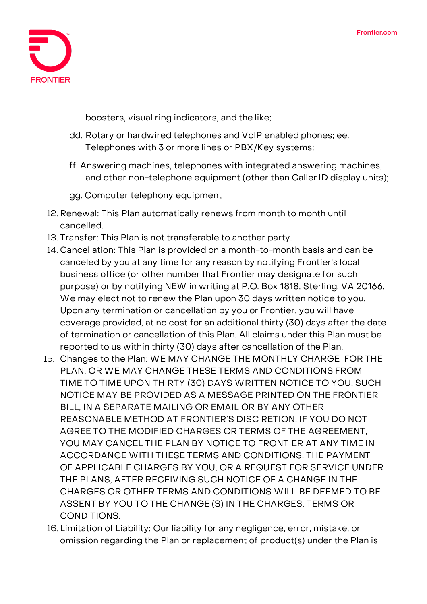

boosters, visual ring indicators, and the like;

- dd. Rotary or hardwired telephones and VoIP enabled phones; ee. Telephones with 3 or more lines or PBX/Key systems;
- ff. Answering machines, telephones with integrated answering machines, and other non-telephone equipment (other than Caller ID display units);
- gg. Computer telephony equipment
- 12. **Renewal:** This Plan automatically renews from month to month until cancelled.
- 13. **Transfer:** This Plan is not transferable to another party.
- 14. **Cancellation:** This Plan is provided on a month-to-month basis and can be canceled by you at any time for any reason by notifying Frontier's local business office (or other number that Frontier may designate for such purpose) or by notifying NEW in writing at P.O. Box 1818, Sterling, VA 20166. We may elect not to renew the Plan upon 30 days written notice to you. Upon any termination or cancellation by you or Frontier, you will have coverage provided, at no cost for an additional thirty (30) days after the date of termination or cancellation of this Plan. All claims under this Plan must be reported to us within thirty (30) days after cancellation of the Plan.
- 15. **Changes to the Plan:** WE MAY CHANGE THE MONTHLY CHARGE FOR THE PLAN, OR WE MAY CHANGE THESE TERMS AND CONDITIONS FROM TIME TO TIME UPON THIRTY (30) DAYS WRITTEN NOTICE TO YOU. SUCH NOTICE MAY BE PROVIDED AS A MESSAGE PRINTED ON THE FRONTIER BILL, IN A SEPARATE MAILING OR EMAIL OR BY ANY OTHER REASONABLE METHOD AT FRONTIER'S DISC RETION. IF YOU DO NOT AGREE TO THE MODIFIED CHARGES OR TERMS OF THE AGREEMENT, YOU MAY CANCEL THE PLAN BY NOTICE TO FRONTIER AT ANY TIME IN ACCORDANCE WITH THESE TERMS AND CONDITIONS. THE PAYMENT OF APPLICABLE CHARGES BY YOU, OR A REQUEST FOR SERVICE UNDER THE PLANS, AFTER RECEIVING SUCH NOTICE OF A CHANGE IN THE CHARGES OR OTHER TERMS AND CONDITIONS WILL BE DEEMED TO BE ASSENT BY YOU TO THE CHANGE (S) IN THE CHARGES, TERMS OR CONDITIONS.
- 16. **Limitation of Liability:** Our liability for any negligence, error, mistake, or omission regarding the Plan or replacement of product(s) under the Plan is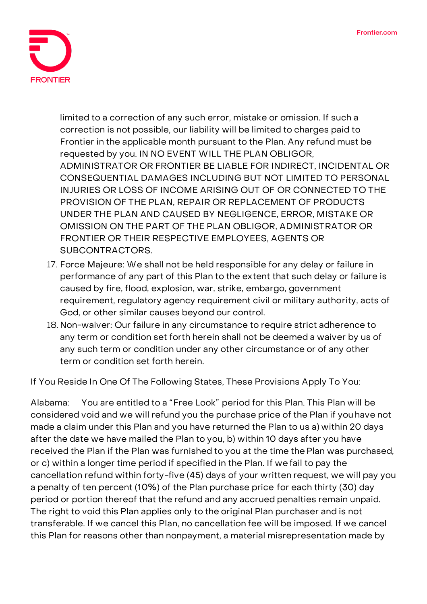

limited to a correction of any such error, mistake or omission. If such a correction is not possible, our liability will be limited to charges paid to Frontier in the applicable month pursuant to the Plan. Any refund must be requested by you. IN NO EVENT WILL THE PLAN OBLIGOR, ADMINISTRATOR OR FRONTIER BE LIABLE FOR INDIRECT, INCIDENTAL OR CONSEQUENTIAL DAMAGES INCLUDING BUT NOT LIMITED TO PERSONAL INJURIES OR LOSS OF INCOME ARISING OUT OF OR CONNECTED TO THE PROVISION OF THE PLAN, REPAIR OR REPLACEMENT OF PRODUCTS UNDER THE PLAN AND CAUSED BY NEGLIGENCE, ERROR, MISTAKE OR OMISSION ON THE PART OF THE PLAN OBLIGOR, ADMINISTRATOR OR FRONTIER OR THEIR RESPECTIVE EMPLOYEES, AGENTS OR SUBCONTRACTORS.

- 17. **Force Majeure:** We shall not be held responsible for any delay or failure in performance of any part of this Plan to the extent that such delay or failure is caused by fire, flood, explosion, war, strike, embargo, government requirement, regulatory agency requirement civil or military authority, acts of God, or other similar causes beyond our control.
- 18. **Non-waiver:** Our failure in any circumstance to require strict adherence to any term or condition set forth herein shall not be deemed a waiver by us of any such term or condition under any other circumstance or of any other term or condition set forth herein.

**If You Reside In One Of The Following States, These Provisions Apply To You:**

**Alabama:** You are entitled to a "Free Look" period for this Plan. This Plan will be considered void and we will refund you the purchase price of the Plan if you have not made a claim under this Plan and you have returned the Plan to us a) within 20 days after the date we have mailed the Plan to you, b) within 10 days after you have received the Plan if the Plan was furnished to you at the time the Plan was purchased, or c) within a longer time period if specified in the Plan. If we fail to pay the cancellation refund within forty-five (45) days of your written request, we will pay you a penalty of ten percent (10%) of the Plan purchase price for each thirty (30) day period or portion thereof that the refund and any accrued penalties remain unpaid. The right to void this Plan applies only to the original Plan purchaser and is not transferable. If we cancel this Plan, no cancellation fee will be imposed. If we cancel this Plan for reasons other than nonpayment, a material misrepresentation made by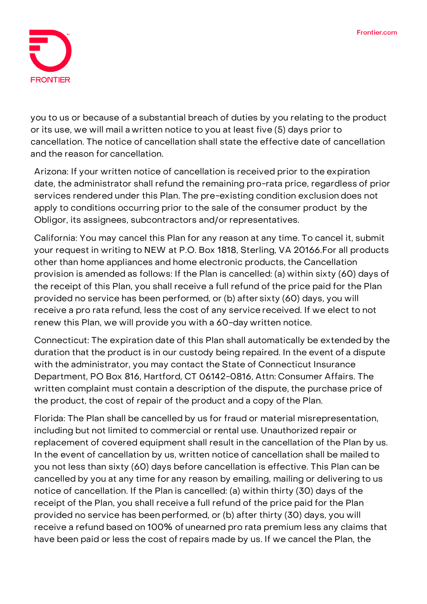

you to us or because of a substantial breach of duties by you relating to the product or its use, we will mail a written notice to you at least five (5) days prior to cancellation. The notice of cancellation shall state the effective date of cancellation and the reason for cancellation.

**Arizona:** If your written notice of cancellation is received prior to the expiration date, the administrator shall refund the remaining pro-rata price, regardless of prior services rendered under this Plan. The pre-existing condition exclusion does not apply to conditions occurring prior to the sale of the consumer product by the Obligor, its assignees, subcontractors and/or representatives.

**California:** You may cancel this Plan for any reason at any time. To cancel it, submit your request in writing to NEW at P.O. Box 1818, Sterling, VA 20166.For all products other than home appliances and home electronic products, the Cancellation provision is amended as follows: If the Plan is cancelled: (a) within sixty (60) days of the receipt of this Plan, you shall receive a full refund of the price paid for the Plan provided no service has been performed, or (b) after sixty (60) days, you will receive a pro rata refund, less the cost of any service received. If we elect to not renew this Plan, we will provide you with a 60-day written notice.

**Connecticut:** The expiration date of this Plan shall automatically be extended by the duration that the product is in our custody being repaired. In the event of a dispute with the administrator, you may contact the State of Connecticut Insurance Department, PO Box 816, Hartford, CT 06142-0816, Attn: Consumer Affairs. The written complaint must contain a description of the dispute, the purchase price of the product, the cost of repair of the product and a copy of the Plan.

**Florida:** The Plan shall be cancelled by us for fraud or material misrepresentation, including but not limited to commercial or rental use. Unauthorized repair or replacement of covered equipment shall result in the cancellation of the Plan by us. In the event of cancellation by us, written notice of cancellation shall be mailed to you not less than sixty (60) days before cancellation is effective. This Plan can be cancelled by you at any time for any reason by emailing, mailing or delivering to us notice of cancellation. If the Plan is cancelled: (a) within thirty (30) days of the receipt of the Plan, you shall receive a full refund of the price paid for the Plan provided no service has beenperformed, or (b) after thirty (30) days, you will receive a refund based on 100% of unearned pro rata premium less any claims that have been paid or less the cost of repairs made by us. If we cancel the Plan, the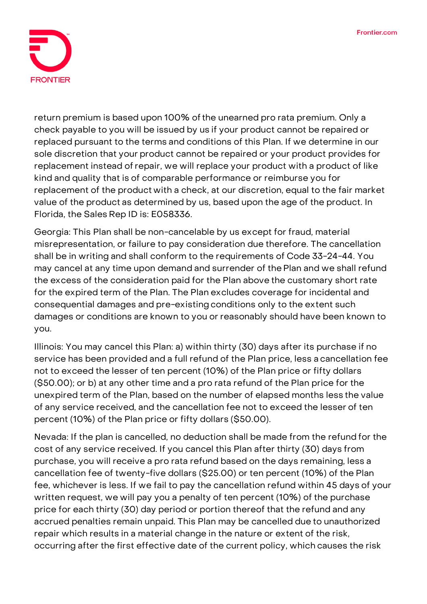

return premium is based upon 100% of the unearned pro rata premium. Only a check payable to you will be issued by us if your product cannot be repaired or replaced pursuant to the terms and conditions of this Plan. If we determine in our sole discretion that your product cannot be repaired or your product provides for replacement instead ofrepair, we will replace your product with a product of like kind and quality that is of comparable performance or reimburse you for replacement of the product with a check, at our discretion, equal to the fair market value of the product as determined by us, based upon the age of the product. In Florida, the Sales Rep ID is: E058336.

**Georgia:** This Plan shall be non-cancelable by us except for fraud, material misrepresentation, or failure to pay consideration due therefore. The cancellation shall be in writing and shall conform to the requirements of Code 33-24-44. You may cancel at any time upon demand and surrender of thePlan and we shall refund the excess of the consideration paid for the Plan above the customary short rate for the expired term of the Plan. The Plan excludes coverage for incidental and consequential damages and pre-existingconditions only to the extent such damages or conditions are known to you or reasonably should have been known to you.

**Illinois:** You may cancel this Plan: a) within thirty (30) days after its purchase if no service has been provided and a full refund of the Plan price, less a cancellation fee not to exceed the lesser of ten percent (10%) of the Plan price or fifty dollars (\$50.00); or b) at any other time and a pro rata refund of the Plan price for the unexpired term of the Plan, based on the number of elapsed months less the value of any service received, and the cancellation fee not to exceed the lesser of ten percent (10%) of the Plan price or fifty dollars (\$50.00).

**Nevada:** If the plan is cancelled, no deduction shall be made from the refund for the cost of any service received. If you cancel this Plan after thirty (30) days from purchase, you will receive a pro rata refund based on the days remaining, less a cancellation fee of twenty-five dollars (\$25.00) or ten percent (10%) of the Plan fee, whichever is less. If we fail to pay the cancellation refund within 45 days of your written request, we will pay you a penalty of ten percent (10%) of the purchase price for each thirty (30) day period or portion thereof that the refund and any accrued penalties remain unpaid. This Plan may be cancelled due to unauthorized repair which results in a material change in the nature or extent of the risk, occurring after the first effective date of the current policy, which causes the risk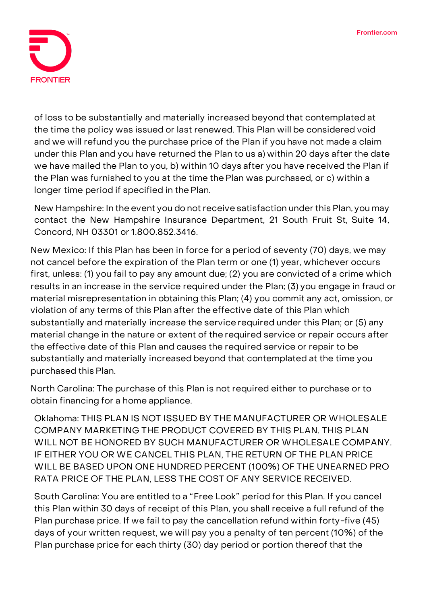

of loss to be substantially and materially increased beyond that contemplated at the time the policy was issued or last renewed. This Plan will be considered void and we will refund you the purchase price of the Plan if you have not made a claim under this Plan and you have returned the Plan to us a) within 20 days after the date we have mailed the Plan to you, b) within 10 days after you have received the Plan if the Plan was furnished to you at the time thePlan was purchased, or c) within a longer time period if specified in the Plan.

**New Hampshire:** In the event you do not receive satisfaction under this Plan, you may contact the New Hampshire Insurance Department, 21 South Fruit St, Suite 14, Concord, NH 03301 or 1.800.852.3416.

**New Mexico:** If this Plan has been in force for a period of seventy (70) days, we may not cancel before the expiration of the Plan term or one (1) year, whichever occurs first, unless: (1) you fail to pay any amount due; (2) you are convicted of a crime which results in an increase in the service required under the Plan; (3) you engage in fraud or material misrepresentation in obtaining this Plan; (4) you commit any act, omission, or violation of any terms of this Plan after the effective date of this Plan which substantially and materially increase the service required under this Plan; or (5) any material change in the nature or extent of the required service or repair occurs after the effective date of this Plan and causes the required service or repair to be substantially and materially increased beyond that contemplated at the time you purchased this Plan.

**North Carolina:** The purchase of this Plan is not required either to purchase or to obtain financing for a home appliance.

**Oklahoma:** THIS PLAN IS NOT ISSUED BY THE MANUFACTURER OR WHOLESALE COMPANY MARKETING THE PRODUCT COVERED BY THIS PLAN. THIS PLAN WILL NOT BE HONORED BY SUCH MANUFACTURER OR WHOLESALE COMPANY. IF EITHER YOU OR WE CANCEL THIS PLAN, THE RETURN OF THE PLAN PRICE WILL BE BASED UPON ONE HUNDRED PERCENT (100%) OF THE UNEARNED PRO RATA PRICE OF THE PLAN, LESS THE COST OF ANY SERVICE RECEIVED.

**South Carolina:** You are entitled to a "Free Look" period for this Plan. If you cancel this Plan within 30 days of receipt of this Plan, you shall receive a full refund of the Plan purchase price. If we fail to pay the cancellation refund within forty-five (45) days of your written request, we will pay you a penalty of ten percent (10%) of the Plan purchase price for each thirty (30) day period or portion thereof that the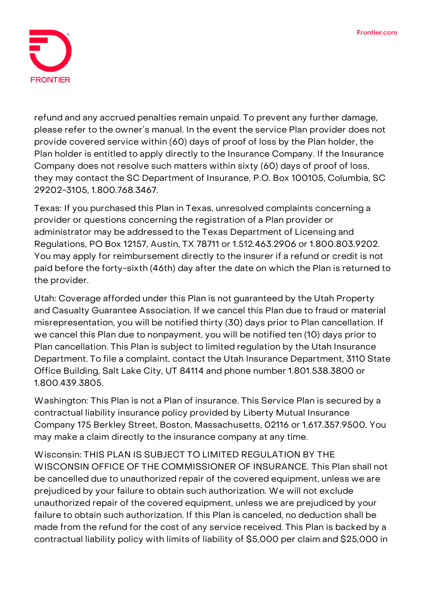

refund and any accrued penalties remain unpaid. To prevent any further damage, please refer to the owner's manual. In the event the service Plan provider does not provide covered service within (60) days of proof of loss by the Plan holder, the Plan holder is entitled to apply directly to the Insurance Company. If the Insurance Company does not resolve such matters within sixty (60) days of proof of loss, they may contact the SC Department of Insurance, P.O. Box 100105, Columbia, SC 29202-3105, 1.800.768.3467.

**Texas:** If you purchased this Plan in Texas, unresolved complaints concerning a provider or questions concerning the registration of a Plan provider or administrator may be addressed to the Texas Department of Licensing and Regulations, PO Box 12157, Austin, TX 78711 or 1.512.463.2906 or 1.800.803.9202. You may apply for reimbursement directly to the insurer if a refund or credit is not paid before the forty-sixth (46th) day after the date on which the Plan is returned to the provider.

**Utah:** Coverage afforded under this Plan is not guaranteed by the Utah Property and Casualty Guarantee Association. If we cancel this Plan due to fraud or material misrepresentation, you will be notified thirty (30) days prior to Plan cancellation. If we cancel this Plan due to nonpayment, you will be notified ten (10) days prior to Plan cancellation. This Plan is subject to limited regulation by the Utah Insurance Department. To file a complaint, contact the Utah Insurance Department, 3110 State Office Building, Salt Lake City, UT 84114 and phone number 1.801.538.3800 or 1.800.439.3805.

**Washington:** This Plan is not a Plan of insurance. This Service Plan is secured by a contractual liability insurance policy provided by Liberty Mutual Insurance Company 175 Berkley Street, Boston, Massachusetts, 02116 or 1.617.357.9500. You may make a claim directly to the insurance company at any time.

**Wisconsin: THIS PLAN IS SUBJECT TO LIMITED REGULATION BY THE WISCONSIN OFFICE OF THE COMMISSIONER OF INSURANCE.** This Plan shall not be cancelled due to unauthorized repair of the covered equipment, unless we are prejudiced by your failure to obtain such authorization. We will not exclude unauthorized repair of the covered equipment, unless we are prejudiced by your failure to obtain such authorization. If this Plan is canceled, no deduction shall be made from the refund for the cost of any service received. This Plan is backed by a contractual liability policy with limits of liability of \$5,000 per claim and \$25,000 in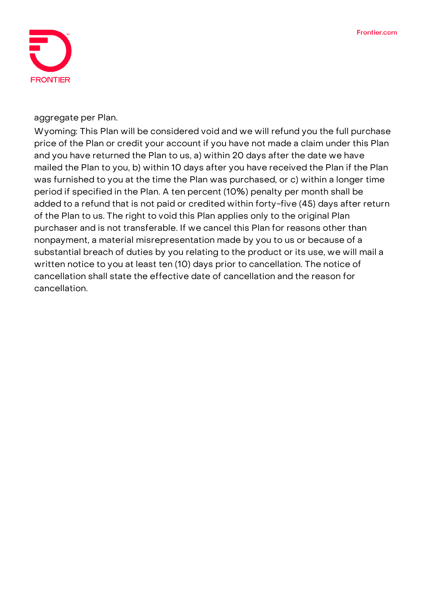

aggregate per Plan.

**Wyoming:** This Plan will be considered void and we will refund you the full purchase price of the Plan or credit your account if you have not made a claim under this Plan and you have returned the Plan to us, a) within 20 days after the date we have mailed the Plan to you, b) within 10 days after you have received the Plan if the Plan was furnished to you at the time the Plan was purchased, or c) within a longer time period if specified in the Plan. A ten percent (10%) penalty per month shall be added to a refund that is not paid or credited within forty-five (45) days after return of the Plan to us. The right to void this Plan applies only to the original Plan purchaser and is not transferable. If we cancel this Plan for reasons other than nonpayment, a material misrepresentation made by you to us or because of a substantial breach of duties by you relating to the product or its use, we will mail a written notice to you at least ten (10) days prior to cancellation. The notice of cancellation shall state the effective date of cancellation and the reason for cancellation.